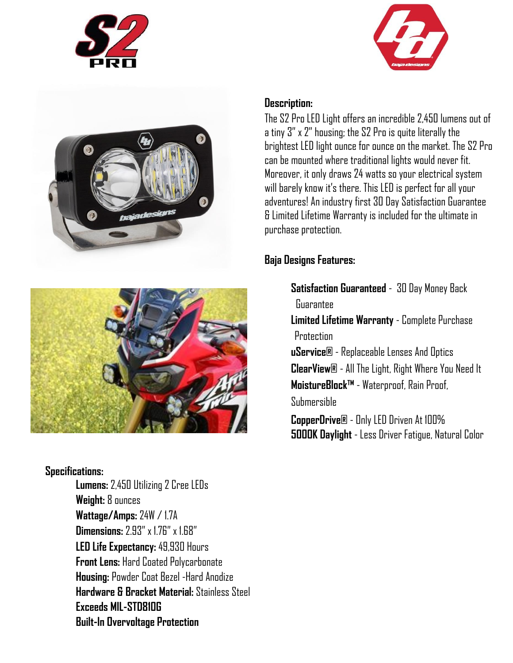







#### **Specifications:**

**Lumens:** 2,450 Utilizing 2 Cree LEDs **Weight:** 8 ounces **Wattage/Amps:** 24W / 1.7A **Dimensions:** 2.93" x 1.76" x 1.68" **LED Life Expectancy:** 49,930 Hours **Front Lens:** Hard Coated Polycarbonate **Housing:** Powder Coat Bezel -Hard Anodize **Hardware & Bracket Material:** Stainless Steel **Exceeds MIL-STD810G Built-In Overvoltage Protection** 

### **Description:**

The S2 Pro LED Light offers an incredible 2,450 lumens out of a tiny 3" x 2" housing; the S2 Pro is quite literally the brightest LED light ounce for ounce on the market. The S2 Pro can be mounted where traditional lights would never fit. Moreover, it only draws 24 watts so your electrical system will barely know it's there. This LED is perfect for all your adventures! An industry first 30 Day Satisfaction Guarantee & Limited Lifetime Warranty is included for the ultimate in purchase protection.

# **Baja Designs Features:**

**Satisfaction Guaranteed** - 30 Day Money Back Guarantee **Limited Lifetime Warranty** - Complete Purchase **Protection uService®** - Replaceable Lenses And Optics **ClearView®** - All The Light, Right Where You Need It **MoistureBlock™** - Waterproof, Rain Proof, Submersible

**CopperDrive®** - Only LED Driven At 100% **5000K Daylight** - Less Driver Fatigue, Natural Color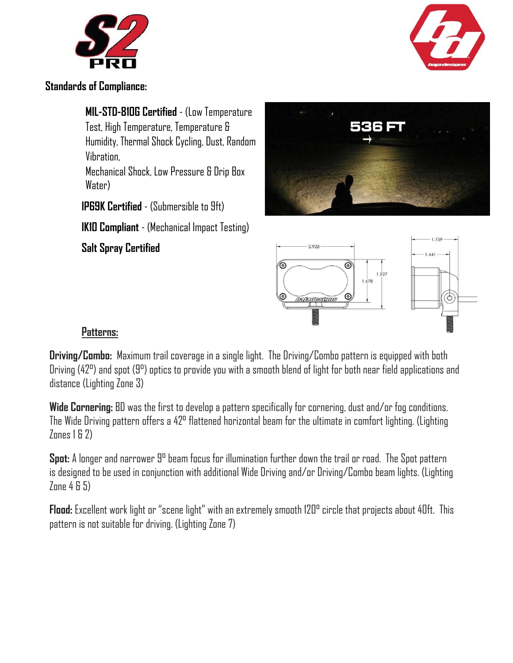



**Standards of Compliance:**

**MIL-STD-810G Certified** - (Low Temperature Test, High Temperature, Temperature & Humidity, Thermal Shock Cycling, Dust, Random Vibration, Mechanical Shock, Low Pressure & Drip Box Water)

**IP69K Certified** - (Submersible to 9ft)

**IK10 Compliant** - (Mechanical Impact Testing)

**Salt Spray Certified** 





## **Patterns:**

**Driving/Combo:** Maximum trail coverage in a single light. The Driving/Combo pattern is equipped with both Driving (42°) and spot (9°) optics to provide you with a smooth blend of light for both near field applications and distance (Lighting Zone 3)

**Wide Cornering:** BD was the first to develop a pattern specifically for cornering, dust and/or fog conditions. The Wide Driving pattern offers a 42° flattened horizontal beam for the ultimate in comfort lighting. (Lighting Zones 1 & 2)

**Spot:** A longer and narrower 9° beam focus for illumination further down the trail or road. The Spot pattern is designed to be used in conjunction with additional Wide Driving and/or Driving/Combo beam lights. (Lighting Zone 4 & 5)

**Flood:** Excellent work light or "scene light" with an extremely smooth 120° circle that projects about 40ft. This pattern is not suitable for driving. (Lighting Zone 7)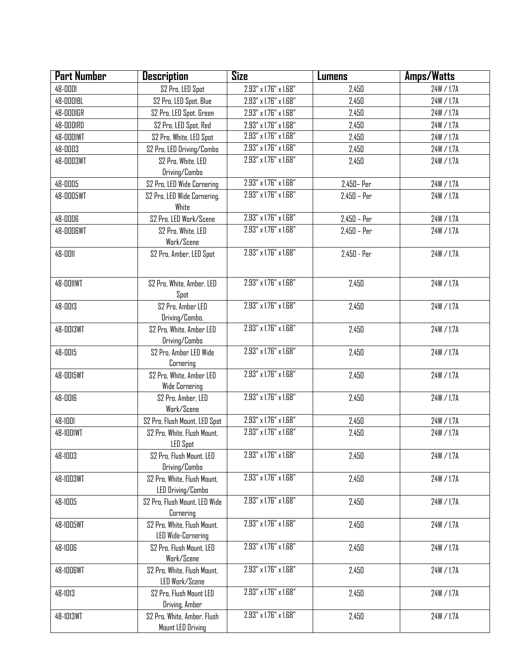| <b>Part Number</b> | <b>Description</b>                                       | <b>Size</b>                          | Lumens        | Amps/Watts |
|--------------------|----------------------------------------------------------|--------------------------------------|---------------|------------|
| 48-0001            | S2 Pro, LED Spot                                         | 2.93" x 1.76" x 1.68"                | 2,450         | 24W / 1.7A |
| 48-0001BL          | S2 Pro, LED Spot, Blue                                   | 2.93" x 1.76" x 1.68"                | 2,450         | 24W / 1.7A |
| <b>48-0001GR</b>   | S2 Pro, LED Spot, Green                                  | 2.93" x 1.76" x 1.68"                | 2,450         | 24W / 1.7A |
| 48-0001RD          | S2 Pro, LED Spot, Red                                    | 2.93" x 1.76" x 1.68"                | 2,450         | 24W / 1.7A |
| 48-0001WT          | S2 Pro, White, LED Spot                                  | 2.93" x 1.76" x 1.68"                | 2,450         | 24W / 1.7A |
| 48-0003            | S2 Pro, LED Driving/Combo                                | 2.93" x 1.76" x 1.68"                | 2,450         | 24W / 1.7A |
| 48-0003WT          | S2 Pro, White, LED<br>Driving/Combo                      | 2.93" x 1.76" x 1.68"                | 2,450         | 24W / 1.7A |
| 48-0005            | S2 Pro, LED Wide Cornering                               | $2.93'' \times 1.76'' \times 1.68''$ | 2,450 - Per   | 24W / 1.7A |
| 48-0005WT          | S2 Pro, LED Wide Cornering,<br>White                     | 2.93" x 1.76" x 1.68"                | $2,450 - Per$ | 24W / 1.7A |
| 48-0006            | S2 Pro, LED Work/Scene                                   | 2.93" x 1.76" x 1.68"                | $2,450 - Per$ | 24W / 1.7A |
| 48-0006WT          | S2 Pro, White, LED<br>Work/Scene                         | 2.93" x 1.76" x 1.68"                | $2,450 - Per$ | 24W / 1.7A |
| 48-0011            | S2 Pro, Amber, LED Spot                                  | 2.93" x 1.76" x 1.68"                | $2,450 - Per$ | 24W / 1.7A |
| <b>48-0011WT</b>   | S2 Pro, White, Amber, LED<br>Spot                        | 2.93" x 1.76" x 1.68"                | 2,450         | 24W / 1.7A |
| 48-0013            | S2 Pro, Amber LED<br>Driving/Combo,                      | 2.93" x 1.76" x 1.68"                | 2,450         | 24W / 1.7A |
| 48-0013WT          | S2 Pro, White, Amber LED<br>Driving/Combo                | 2.93" x 1.76" x 1.68"                | 2,450         | 24W / 1.7A |
| 48-0015            | S2 Pro, Amber LED Wide<br>Cornering                      | 2.93" x 1.76" x 1.68"                | 2,450         | 24W / 1.7A |
| 48-0015WT          | S2 Pro, White, Amber LED<br><b>Wide Cornering</b>        | 2.93" x 1.76" x 1.68"                | 2,450         | 24W / 1.7A |
| 48-0016            | S2 Pro, Amber, LED<br>Work/Scene                         | 2.93" x 1.76" x 1.68"                | 2,450         | 24W / 1.7A |
| 48-1001            | S2 Pro, Flush Mount, LED Spot                            | 2.93" x 1.76" x 1.68"                | 2,450         | 24W / 1.7A |
| 48-1001WT          | S2 Pro, White, Flush Mount,<br>LED Spot                  | 2.93" x 1.76" x 1.68"                | 2,450         | 24W / 1.7A |
| 48-1003            | S2 Pro, Flush Mount, LED<br>Driving/Combo                | 2.93" x 1.76" x 1.68"                | 2,450         | 24W / 1.7A |
| 48-1003WT          | S2 Pro, White, Flush Mount,<br>LED Driving/Combo         | 2.93" x 1.76" x 1.68"                | 2,450         | 24W / 1.7A |
| 48-1005            | S2 Pro, Flush Mount, LED Wide<br>Cornering               | 2.93" x 1.76" x 1.68"                | 2,450         | 24W / 1.7A |
| 48-1005WT          | S2 Pro, White, Flush Mount,<br><b>LED Wide-Cornering</b> | 2.93" x 1.76" x 1.68"                | 2,450         | 24W / 1.7A |
| 48-1006            | S2 Pro, Flush Mount, LED<br>Work/Scene                   | 2.93" x 1.76" x 1.68"                | 2,450         | 24W / 1.7A |
| 48-1006WT          | S2 Pro, White, Flush Mount,<br>LED Work/Scene            | 2.93" x 1.76" x 1.68"                | 2,450         | 24W / 1.7A |
| 48-1013            | S2 Pro, Flush Mount LED<br>Driving, Amber                | 2.93" x 1.76" x 1.68"                | 2,450         | 24W / 1.7A |
| 48-1013WT          | S2 Pro, White, Amber, Flush<br>Mount LED Driving         | 2.93" x 1.76" x 1.68"                | 2,450         | 24W / 1.7A |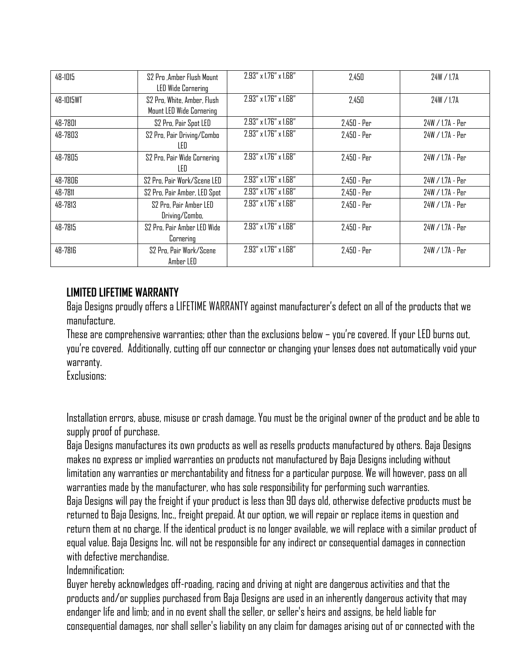| 48-1015   | S2 Pro .Amber Flush Mount<br><b>LED Wide Cornering</b>  | 2.93" x 1.76" x 1.68"                | 2.450         | 24W / 1.7A       |
|-----------|---------------------------------------------------------|--------------------------------------|---------------|------------------|
| 48-1015WT | S2 Pro, White, Amber, Flush<br>Mount LED Wide Cornering | $2.93'' \times 1.76'' \times 1.68''$ | 2,450         | 24W / 1.7A       |
| 48-7801   | S2 Pro, Pair Spot LED                                   | 2.93" x 1.76" x 1.68"                | $2,450 - Per$ | 24W / 1.7A - Per |
| 48-7803   | S2 Pro, Pair Driving/Combo<br>LED                       | 2.93" x 1.76" x 1.68"                | $2,450 - Per$ | 24W / 1.7A - Per |
| 48-7805   | S2 Pro, Pair Wide Cornering<br>LED                      | $2.93'' \times 1.76'' \times 1.68''$ | $2,450 - Per$ | 24W / 1.7A - Per |
| 48-7806   | S2 Pro, Pair Work/Scene LED                             | 2.93" x 1.76" x 1.68"                | $2,450 - Per$ | 24W / 1.7A - Per |
| 48-7811   | S2 Pro, Pair Amber, LED Spot                            | 2.93" x 1.76" x 1.68"                | $2,450 - Per$ | 24W / 1.7A - Per |
| 48-7813   | S2 Pro, Pair Amber LED<br>Driving/Combo,                | $2.93'' \times 1.76'' \times 1.68''$ | $2,450 - Per$ | 24W / 1.7A - Per |
| 48-7815   | S2 Pro, Pair Amber LED Wide<br>Cornering                | 2.93" x 1.76" x 1.68"                | $2,450 - Per$ | 24W / 1.7A - Per |
| 48-7816   | S2 Pro, Pair Work/Scene<br>Amber LED                    | 2.93" x 1.76" x 1.68"                | $2,450 - Per$ | 24W / 1.7A - Per |

# **LIMITED LIFETIME WARRANTY**

Baja Designs proudly offers a LIFETIME WARRANTY against manufacturer's defect on all of the products that we manufacture.

These are comprehensive warranties; other than the exclusions below – you're covered. If your LED burns out, you're covered. Additionally, cutting off our connector or changing your lenses does not automatically void your warranty.

Exclusions:

Installation errors, abuse, misuse or crash damage. You must be the original owner of the product and be able to supply proof of purchase.

Baja Designs manufactures its own products as well as resells products manufactured by others. Baja Designs makes no express or implied warranties on products not manufactured by Baja Designs including without limitation any warranties or merchantability and fitness for a particular purpose. We will however, pass on all warranties made by the manufacturer, who has sole responsibility for performing such warranties. Baja Designs will pay the freight if your product is less than 90 days old, otherwise defective products must be returned to Baja Designs, Inc., freight prepaid. At our option, we will repair or replace items in question and return them at no charge. If the identical product is no longer available, we will replace with a similar product of equal value. Baja Designs Inc. will not be responsible for any indirect or consequential damages in connection with defective merchandise.

Indemnification:

Buyer hereby acknowledges off-roading, racing and driving at night are dangerous activities and that the products and/or supplies purchased from Baja Designs are used in an inherently dangerous activity that may endanger life and limb; and in no event shall the seller, or seller's heirs and assigns, be held liable for consequential damages, nor shall seller's liability on any claim for damages arising out of or connected with the